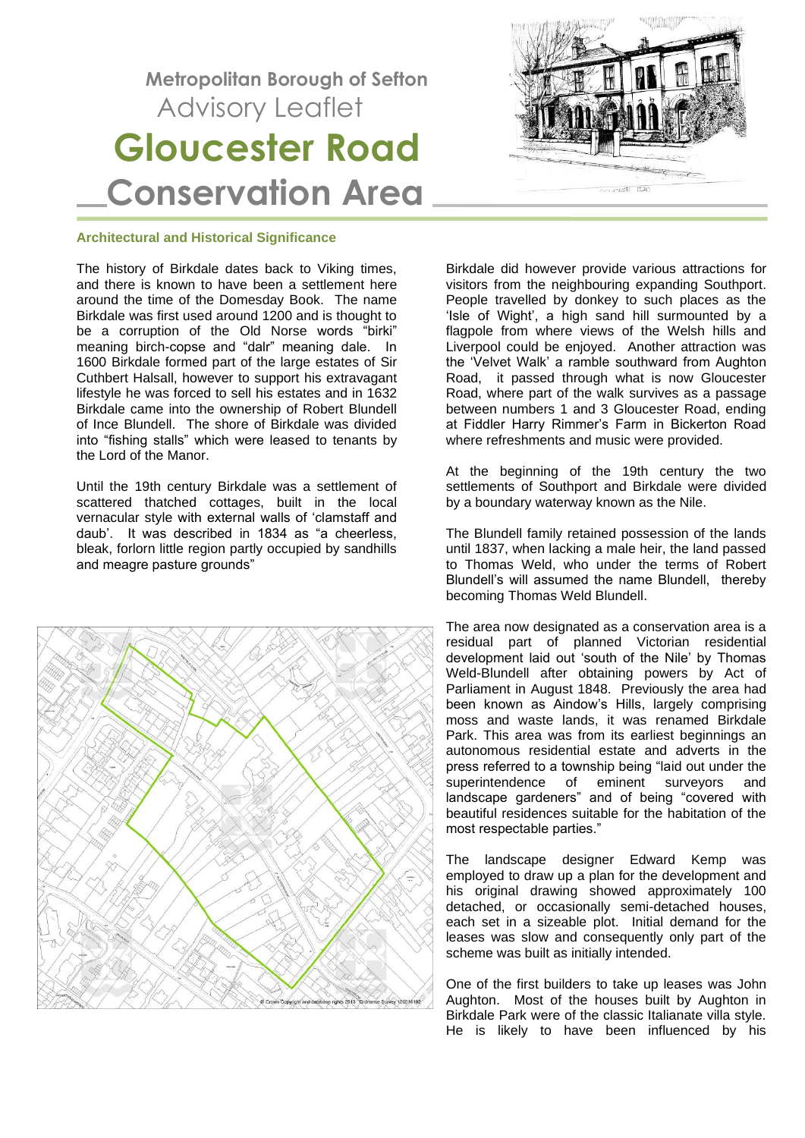# **Metropolitan Borough of Sefton** Advisory Leaflet  **Gloucester Road Conservation Area**



## **Architectural and Historical Significance**

The history of Birkdale dates back to Viking times, and there is known to have been a settlement here around the time of the Domesday Book. The name Birkdale was first used around 1200 and is thought to be a corruption of the Old Norse words "birki" meaning birch-copse and "dalr" meaning dale. In 1600 Birkdale formed part of the large estates of Sir Cuthbert Halsall, however to support his extravagant lifestyle he was forced to sell his estates and in 1632 Birkdale came into the ownership of Robert Blundell of Ince Blundell. The shore of Birkdale was divided into "fishing stalls" which were leased to tenants by the Lord of the Manor.

Until the 19th century Birkdale was a settlement of scattered thatched cottages, built in the local vernacular style with external walls of 'clamstaff and daub'. It was described in 1834 as "a cheerless, bleak, forlorn little region partly occupied by sandhills and meagre pasture grounds"



Birkdale did however provide various attractions for visitors from the neighbouring expanding Southport. People travelled by donkey to such places as the 'Isle of Wight', a high sand hill surmounted by a flagpole from where views of the Welsh hills and Liverpool could be enjoyed. Another attraction was the 'Velvet Walk' a ramble southward from Aughton Road, it passed through what is now Gloucester Road, where part of the walk survives as a passage between numbers 1 and 3 Gloucester Road, ending at Fiddler Harry Rimmer's Farm in Bickerton Road where refreshments and music were provided.

At the beginning of the 19th century the two settlements of Southport and Birkdale were divided by a boundary waterway known as the Nile.

The Blundell family retained possession of the lands until 1837, when lacking a male heir, the land passed to Thomas Weld, who under the terms of Robert Blundell's will assumed the name Blundell, thereby becoming Thomas Weld Blundell.

The area now designated as a conservation area is a residual part of planned Victorian residential development laid out 'south of the Nile' by Thomas Weld-Blundell after obtaining powers by Act of Parliament in August 1848. Previously the area had been known as Aindow's Hills, largely comprising moss and waste lands, it was renamed Birkdale Park. This area was from its earliest beginnings an autonomous residential estate and adverts in the press referred to a township being "laid out under the superintendence of eminent surveyors and landscape gardeners" and of being "covered with beautiful residences suitable for the habitation of the most respectable parties."

The landscape designer Edward Kemp was employed to draw up a plan for the development and his original drawing showed approximately 100 detached, or occasionally semi-detached houses, each set in a sizeable plot. Initial demand for the leases was slow and consequently only part of the scheme was built as initially intended.

One of the first builders to take up leases was John Aughton. Most of the houses built by Aughton in Birkdale Park were of the classic Italianate villa style. He is likely to have been influenced by his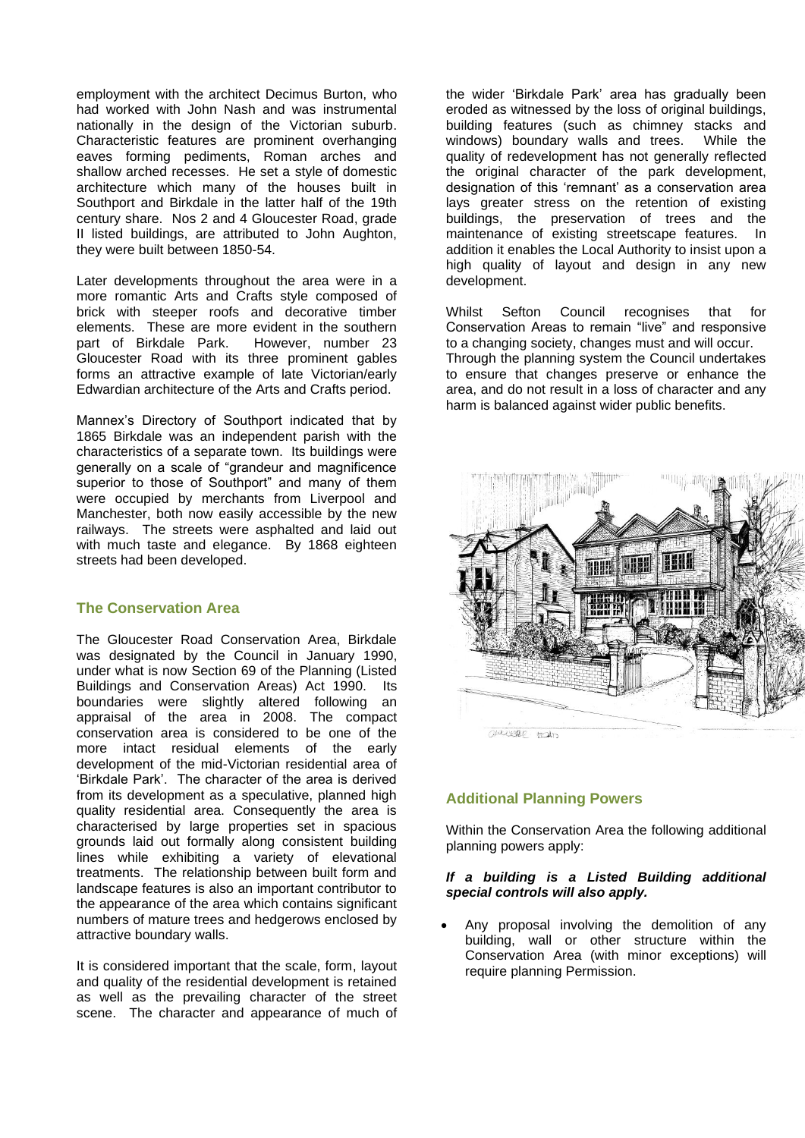employment with the architect Decimus Burton, who had worked with John Nash and was instrumental nationally in the design of the Victorian suburb. Characteristic features are prominent overhanging eaves forming pediments, Roman arches and shallow arched recesses. He set a style of domestic architecture which many of the houses built in Southport and Birkdale in the latter half of the 19th century share. Nos 2 and 4 Gloucester Road, grade II listed buildings, are attributed to John Aughton, they were built between 1850-54.

Later developments throughout the area were in a more romantic Arts and Crafts style composed of brick with steeper roofs and decorative timber elements. These are more evident in the southern part of Birkdale Park. However, number 23 Gloucester Road with its three prominent gables forms an attractive example of late Victorian/early Edwardian architecture of the Arts and Crafts period.

Mannex's Directory of Southport indicated that by 1865 Birkdale was an independent parish with the characteristics of a separate town. Its buildings were generally on a scale of "grandeur and magnificence superior to those of Southport" and many of them were occupied by merchants from Liverpool and Manchester, both now easily accessible by the new railways. The streets were asphalted and laid out with much taste and elegance. By 1868 eighteen streets had been developed.

## **The Conservation Area**

The Gloucester Road Conservation Area, Birkdale was designated by the Council in January 1990, under what is now Section 69 of the Planning (Listed Buildings and Conservation Areas) Act 1990. Its boundaries were slightly altered following an appraisal of the area in 2008. The compact conservation area is considered to be one of the more intact residual elements of the early development of the mid-Victorian residential area of 'Birkdale Park'. The character of the area is derived from its development as a speculative, planned high quality residential area. Consequently the area is characterised by large properties set in spacious grounds laid out formally along consistent building lines while exhibiting a variety of elevational treatments. The relationship between built form and landscape features is also an important contributor to the appearance of the area which contains significant numbers of mature trees and hedgerows enclosed by attractive boundary walls.

It is considered important that the scale, form, layout and quality of the residential development is retained as well as the prevailing character of the street scene. The character and appearance of much of

the wider 'Birkdale Park' area has gradually been eroded as witnessed by the loss of original buildings, building features (such as chimney stacks and windows) boundary walls and trees. While the quality of redevelopment has not generally reflected the original character of the park development, designation of this 'remnant' as a conservation area lays greater stress on the retention of existing buildings, the preservation of trees and the maintenance of existing streetscape features. In addition it enables the Local Authority to insist upon a high quality of layout and design in any new development.

Whilst Sefton Council recognises that for Conservation Areas to remain "live" and responsive to a changing society, changes must and will occur. Through the planning system the Council undertakes to ensure that changes preserve or enhance the area, and do not result in a loss of character and any harm is balanced against wider public benefits.



# **Additional Planning Powers**

Within the Conservation Area the following additional planning powers apply:

#### *If a building is a Listed Building additional special controls will also apply.*

• Any proposal involving the demolition of any building, wall or other structure within the Conservation Area (with minor exceptions) will require planning Permission.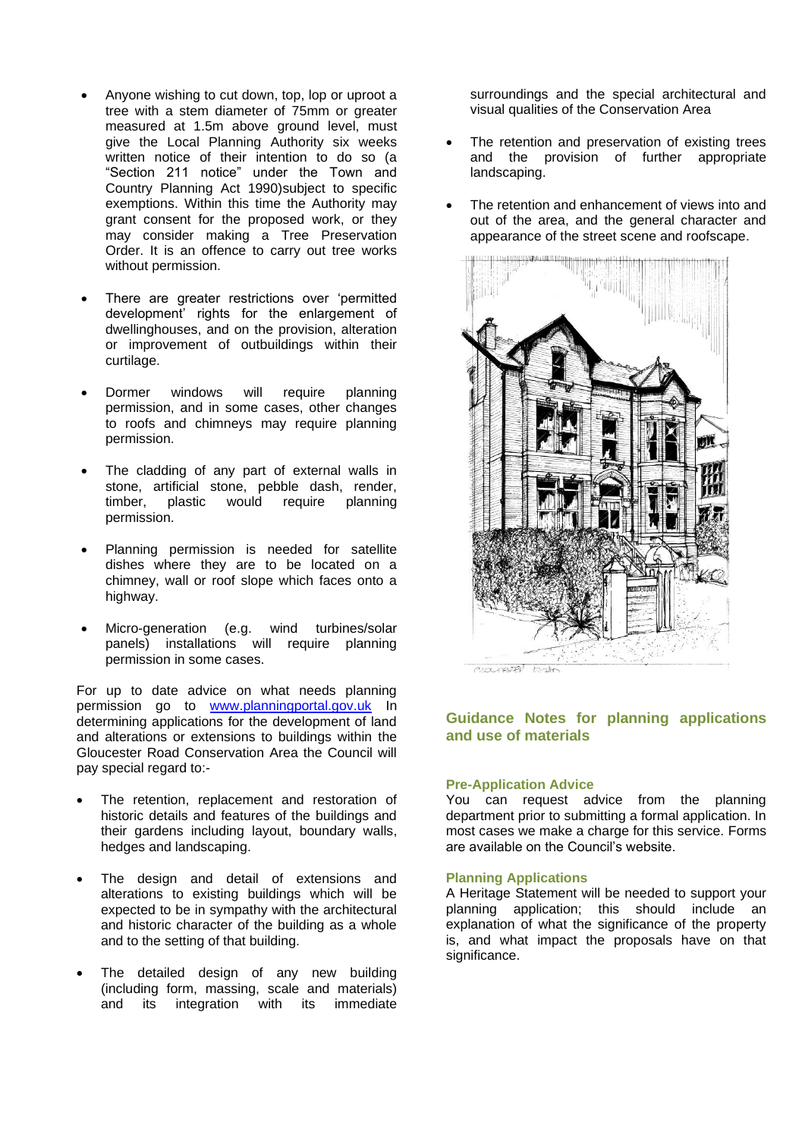- Anyone wishing to cut down, top, lop or uproot a tree with a stem diameter of 75mm or greater measured at 1.5m above ground level, must give the Local Planning Authority six weeks written notice of their intention to do so (a "Section 211 notice" under the Town and Country Planning Act 1990)subject to specific exemptions. Within this time the Authority may grant consent for the proposed work, or they may consider making a Tree Preservation Order. It is an offence to carry out tree works without permission.
- There are greater restrictions over 'permitted development' rights for the enlargement of dwellinghouses, and on the provision, alteration or improvement of outbuildings within their curtilage.
- Dormer windows will require planning permission, and in some cases, other changes to roofs and chimneys may require planning permission.
- The cladding of any part of external walls in stone, artificial stone, pebble dash, render, timber, plastic would require planning permission.
- Planning permission is needed for satellite dishes where they are to be located on a chimney, wall or roof slope which faces onto a highway.
- Micro-generation (e.g. wind turbines/solar panels) installations will require planning permission in some cases.

For up to date advice on what needs planning permission go to [www.planningportal.gov.uk](http://www.planningportal.gov.uk/) In determining applications for the development of land and alterations or extensions to buildings within the Gloucester Road Conservation Area the Council will pay special regard to:-

- The retention, replacement and restoration of historic details and features of the buildings and their gardens including layout, boundary walls, hedges and landscaping.
- The design and detail of extensions and alterations to existing buildings which will be expected to be in sympathy with the architectural and historic character of the building as a whole and to the setting of that building.
- The detailed design of any new building (including form, massing, scale and materials) and its integration with its immediate

surroundings and the special architectural and visual qualities of the Conservation Area

- The retention and preservation of existing trees and the provision of further appropriate landscaping.
- The retention and enhancement of views into and out of the area, and the general character and appearance of the street scene and roofscape.



# **Guidance Notes for planning applications and use of materials**

## **Pre-Application Advice**

You can request advice from the planning department prior to submitting a formal application. In most cases we make a charge for this service. Forms are available on the Council's website.

#### **Planning Applications**

A Heritage Statement will be needed to support your planning application; this should include an explanation of what the significance of the property is, and what impact the proposals have on that significance.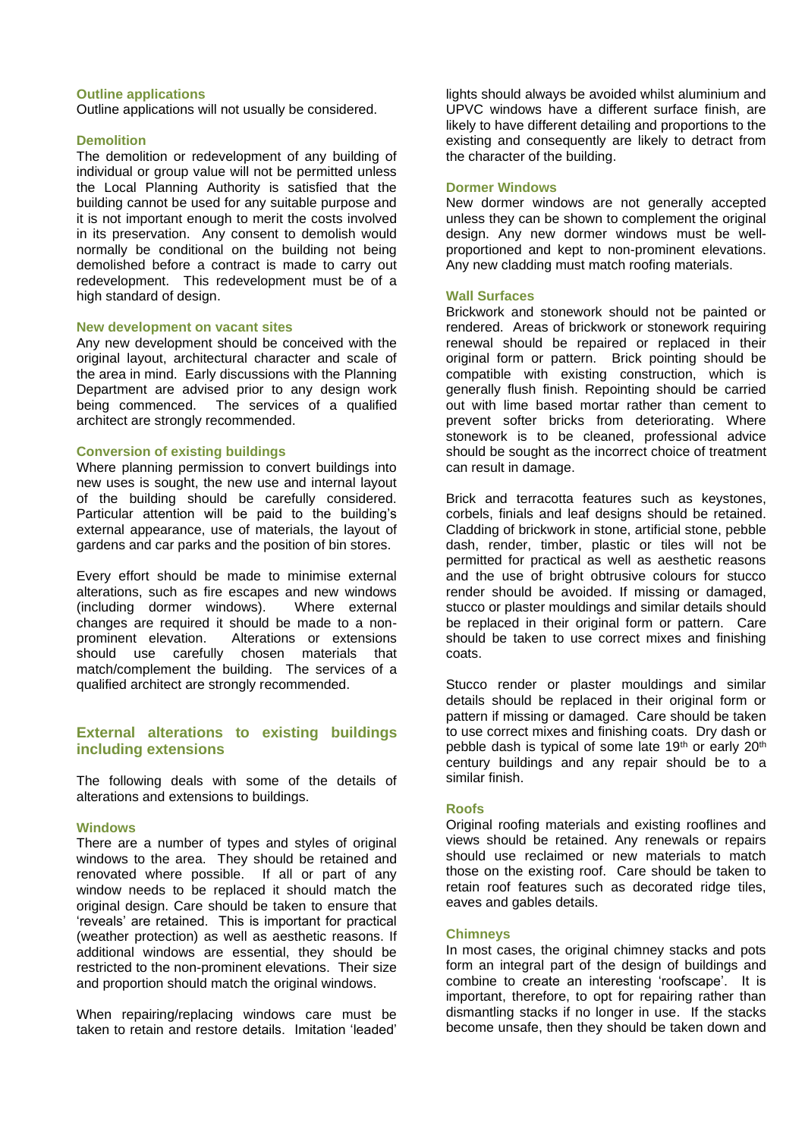#### **Outline applications**

Outline applications will not usually be considered.

#### **Demolition**

The demolition or redevelopment of any building of individual or group value will not be permitted unless the Local Planning Authority is satisfied that the building cannot be used for any suitable purpose and it is not important enough to merit the costs involved in its preservation. Any consent to demolish would normally be conditional on the building not being demolished before a contract is made to carry out redevelopment. This redevelopment must be of a high standard of design.

#### **New development on vacant sites**

Any new development should be conceived with the original layout, architectural character and scale of the area in mind. Early discussions with the Planning Department are advised prior to any design work being commenced. The services of a qualified architect are strongly recommended.

## **Conversion of existing buildings**

Where planning permission to convert buildings into new uses is sought, the new use and internal layout of the building should be carefully considered. Particular attention will be paid to the building's external appearance, use of materials, the layout of gardens and car parks and the position of bin stores.

Every effort should be made to minimise external alterations, such as fire escapes and new windows (including dormer windows). Where external changes are required it should be made to a nonprominent elevation. Alterations or extensions should use carefully chosen materials that match/complement the building. The services of a qualified architect are strongly recommended.

## **External alterations to existing buildings including extensions**

The following deals with some of the details of alterations and extensions to buildings.

#### **Windows**

There are a number of types and styles of original windows to the area. They should be retained and renovated where possible. If all or part of any window needs to be replaced it should match the original design. Care should be taken to ensure that 'reveals' are retained. This is important for practical (weather protection) as well as aesthetic reasons. If additional windows are essential, they should be restricted to the non-prominent elevations. Their size and proportion should match the original windows.

When repairing/replacing windows care must be taken to retain and restore details. Imitation 'leaded'

lights should always be avoided whilst aluminium and UPVC windows have a different surface finish, are likely to have different detailing and proportions to the existing and consequently are likely to detract from the character of the building.

## **Dormer Windows**

New dormer windows are not generally accepted unless they can be shown to complement the original design. Any new dormer windows must be wellproportioned and kept to non-prominent elevations. Any new cladding must match roofing materials.

#### **Wall Surfaces**

Brickwork and stonework should not be painted or rendered. Areas of brickwork or stonework requiring renewal should be repaired or replaced in their original form or pattern. Brick pointing should be compatible with existing construction, which is generally flush finish. Repointing should be carried out with lime based mortar rather than cement to prevent softer bricks from deteriorating. Where stonework is to be cleaned, professional advice should be sought as the incorrect choice of treatment can result in damage.

Brick and terracotta features such as keystones, corbels, finials and leaf designs should be retained. Cladding of brickwork in stone, artificial stone, pebble dash, render, timber, plastic or tiles will not be permitted for practical as well as aesthetic reasons and the use of bright obtrusive colours for stucco render should be avoided. If missing or damaged, stucco or plaster mouldings and similar details should be replaced in their original form or pattern. Care should be taken to use correct mixes and finishing coats.

Stucco render or plaster mouldings and similar details should be replaced in their original form or pattern if missing or damaged. Care should be taken to use correct mixes and finishing coats. Dry dash or pebble dash is typical of some late 19<sup>th</sup> or early 20<sup>th</sup> century buildings and any repair should be to a similar finish.

#### **Roofs**

Original roofing materials and existing rooflines and views should be retained. Any renewals or repairs should use reclaimed or new materials to match those on the existing roof. Care should be taken to retain roof features such as decorated ridge tiles, eaves and gables details.

#### **Chimneys**

In most cases, the original chimney stacks and pots form an integral part of the design of buildings and combine to create an interesting 'roofscape'. It is important, therefore, to opt for repairing rather than dismantling stacks if no longer in use. If the stacks become unsafe, then they should be taken down and